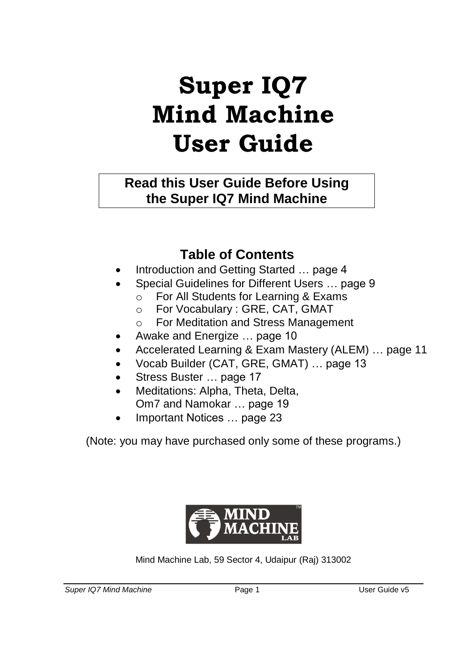# **Super IQ7 Mind Machine User Guide**

**Read this User Guide Before Using the Super IQ7 Mind Machine**

### **Table of Contents**

- Introduction and Getting Started … page 4
- Special Guidelines for Different Users … page 9
	- o For All Students for Learning & Exams
	- o For Vocabulary : GRE, CAT, GMAT
	- o For Meditation and Stress Management
- Awake and Energize … page 10
- Accelerated Learning & Exam Mastery (ALEM) … page 11
- Vocab Builder (CAT, GRE, GMAT) … page 13
- Stress Buster … page 17
- Meditations: Alpha, Theta, Delta, Om7 and Namokar … page 19
- Important Notices ... page 23

(Note: you may have purchased only some of these programs.)



Mind Machine Lab, 59 Sector 4, Udaipur (Raj) 313002

*Super IQ7 Mind Machine* Page 1 User Guide v5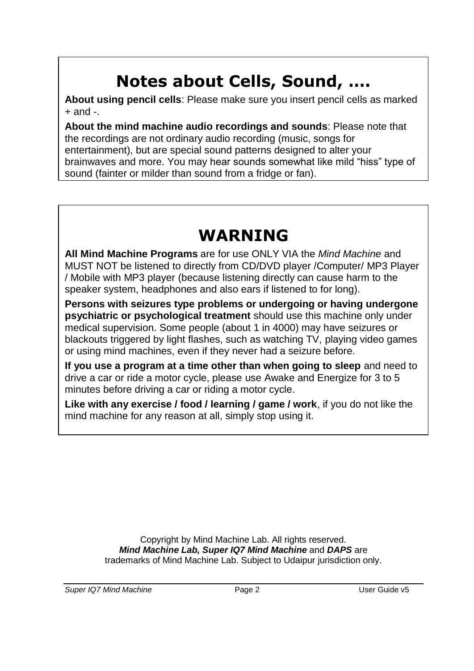# **Notes about Cells, Sound, ….**

**About using pencil cells**: Please make sure you insert pencil cells as marked  $+$  and  $-$ 

**About the mind machine audio recordings and sounds**: Please note that the recordings are not ordinary audio recording (music, songs for entertainment), but are special sound patterns designed to alter your brainwaves and more. You may hear sounds somewhat like mild "hiss" type of sound (fainter or milder than sound from a fridge or fan).

# **WARNING**

**All Mind Machine Programs** are for use ONLY VIA the *Mind Machine* and MUST NOT be listened to directly from CD/DVD player /Computer/ MP3 Player / Mobile with MP3 player (because listening directly can cause harm to the speaker system, headphones and also ears if listened to for long).

**Persons with seizures type problems or undergoing or having undergone psychiatric or psychological treatment** should use this machine only under medical supervision. Some people (about 1 in 4000) may have seizures or blackouts triggered by light flashes, such as watching TV, playing video games or using mind machines, even if they never had a seizure before.

**If you use a program at a time other than when going to sleep** and need to drive a car or ride a motor cycle, please use Awake and Energize for 3 to 5 minutes before driving a car or riding a motor cycle.

**Like with any exercise / food / learning / game / work**, if you do not like the mind machine for any reason at all, simply stop using it.

> Copyright by Mind Machine Lab. All rights reserved. *Mind Machine Lab, Super IQ7 Mind Machine* and *DAPS* are trademarks of Mind Machine Lab. Subject to Udaipur jurisdiction only.

*Super IQ7 Mind Machine* Page 2 User Guide v5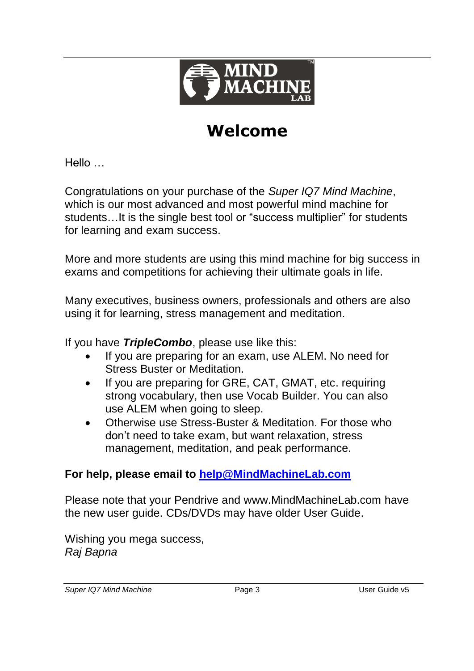

# **Welcome**

Hello …

Congratulations on your purchase of the *Super IQ7 Mind Machine*, which is our most advanced and most powerful mind machine for students…It is the single best tool or "success multiplier" for students for learning and exam success.

More and more students are using this mind machine for big success in exams and competitions for achieving their ultimate goals in life.

Many executives, business owners, professionals and others are also using it for learning, stress management and meditation.

If you have *TripleCombo*, please use like this:

- If you are preparing for an exam, use ALEM. No need for Stress Buster or Meditation.
- If you are preparing for GRE, CAT, GMAT, etc. requiring strong vocabulary, then use Vocab Builder. You can also use ALEM when going to sleep.
- Otherwise use Stress-Buster & Meditation. For those who don't need to take exam, but want relaxation, stress management, meditation, and peak performance.

#### **For help, please email to [help@MindMachineLab.com](mailto:help@MindMachineLab.com)**

Please note that your Pendrive and www.MindMachineLab.com have the new user guide. CDs/DVDs may have older User Guide.

Wishing you mega success. *Raj Bapna*

*Super IQ7 Mind Machine* Page 3 User Guide v5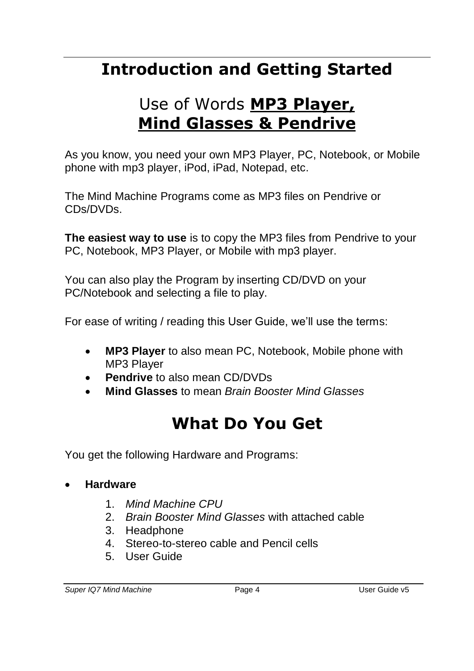# **Introduction and Getting Started**

# Use of Words **MP3 Player, Mind Glasses & Pendrive**

As you know, you need your own MP3 Player, PC, Notebook, or Mobile phone with mp3 player, iPod, iPad, Notepad, etc.

The Mind Machine Programs come as MP3 files on Pendrive or CDs/DVDs.

**The easiest way to use** is to copy the MP3 files from Pendrive to your PC, Notebook, MP3 Player, or Mobile with mp3 player.

You can also play the Program by inserting CD/DVD on your PC/Notebook and selecting a file to play.

For ease of writing / reading this User Guide, we'll use the terms:

- **MP3 Player** to also mean PC, Notebook, Mobile phone with MP3 Player
- **Pendrive** to also mean CD/DVDs
- **Mind Glasses** to mean *Brain Booster Mind Glasses*

# **What Do You Get**

You get the following Hardware and Programs:

- **Hardware**
	- 1. *Mind Machine CPU*
	- 2. *Brain Booster Mind Glasses* with attached cable
	- 3. Headphone
	- 4. Stereo-to-stereo cable and Pencil cells
	- 5. User Guide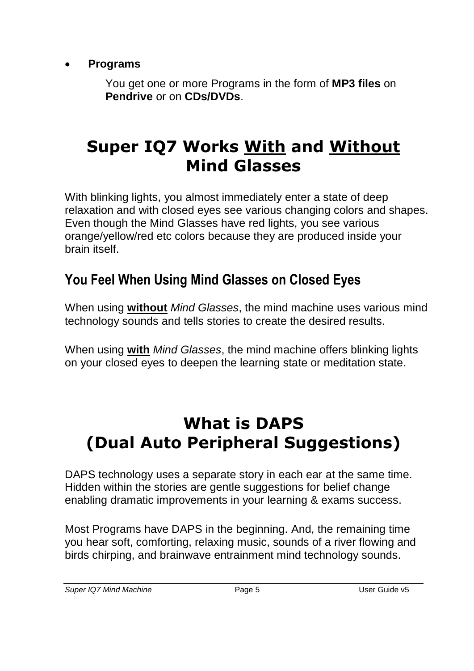**Programs**

You get one or more Programs in the form of **MP3 files** on **Pendrive** or on **CDs/DVDs**.

## **Super IQ7 Works With and Without Mind Glasses**

With blinking lights, you almost immediately enter a state of deep relaxation and with closed eyes see various changing colors and shapes. Even though the Mind Glasses have red lights, you see various orange/yellow/red etc colors because they are produced inside your brain itself.

## **You Feel When Using Mind Glasses on Closed Eyes**

When using **without** *Mind Glasses*, the mind machine uses various mind technology sounds and tells stories to create the desired results.

When using **with** *Mind Glasses*, the mind machine offers blinking lights on your closed eyes to deepen the learning state or meditation state.

## **What is DAPS (Dual Auto Peripheral Suggestions)**

DAPS technology uses a separate story in each ear at the same time. Hidden within the stories are gentle suggestions for belief change enabling dramatic improvements in your learning & exams success.

Most Programs have DAPS in the beginning. And, the remaining time you hear soft, comforting, relaxing music, sounds of a river flowing and birds chirping, and brainwave entrainment mind technology sounds.

*Super IQ7 Mind Machine* Page 5 User Guide v5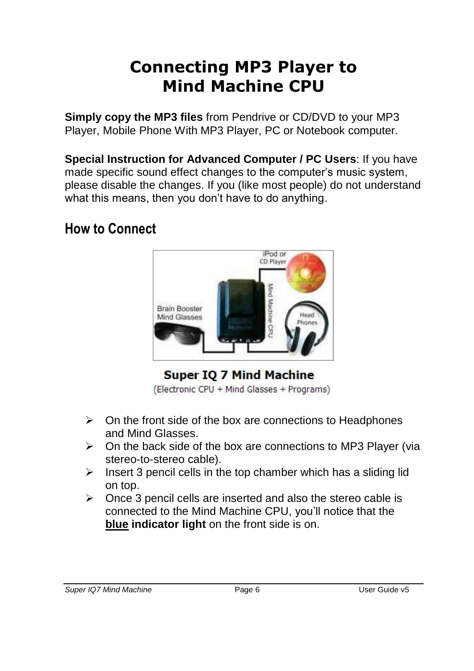## **Connecting MP3 Player to Mind Machine CPU**

**Simply copy the MP3 files** from Pendrive or CD/DVD to your MP3 Player, Mobile Phone With MP3 Player, PC or Notebook computer.

**Special Instruction for Advanced Computer / PC Users**: If you have made specific sound effect changes to the computer's music system, please disable the changes. If you (like most people) do not understand what this means, then you don't have to do anything.

### **How to Connect**



**Super IO 7 Mind Machine** 

(Electronic CPU + Mind Glasses + Programs)

- $\triangleright$  On the front side of the box are connections to Headphones and Mind Glasses.
- $\triangleright$  On the back side of the box are connections to MP3 Player (via stereo-to-stereo cable).
- $\triangleright$  Insert 3 pencil cells in the top chamber which has a sliding lid on top.
- $\triangleright$  Once 3 pencil cells are inserted and also the stereo cable is connected to the Mind Machine CPU, you'll notice that the **blue indicator light** on the front side is on.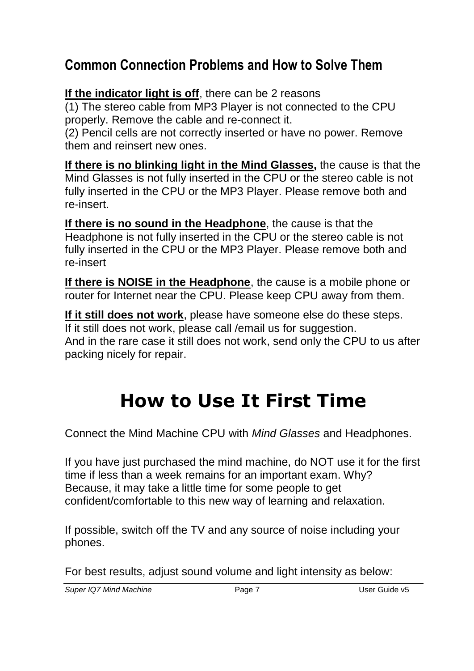### **Common Connection Problems and How to Solve Them**

**If the indicator light is off**, there can be 2 reasons

(1) The stereo cable from MP3 Player is not connected to the CPU properly. Remove the cable and re-connect it.

(2) Pencil cells are not correctly inserted or have no power. Remove them and reinsert new ones.

**If there is no blinking light in the Mind Glasses,** the cause is that the Mind Glasses is not fully inserted in the CPU or the stereo cable is not fully inserted in the CPU or the MP3 Player. Please remove both and re-insert.

**If there is no sound in the Headphone**, the cause is that the Headphone is not fully inserted in the CPU or the stereo cable is not fully inserted in the CPU or the MP3 Player. Please remove both and re-insert

**If there is NOISE in the Headphone**, the cause is a mobile phone or router for Internet near the CPU. Please keep CPU away from them.

**If it still does not work**, please have someone else do these steps. If it still does not work, please call /email us for suggestion. And in the rare case it still does not work, send only the CPU to us after packing nicely for repair.

# **How to Use It First Time**

Connect the Mind Machine CPU with *Mind Glasses* and Headphones.

If you have just purchased the mind machine, do NOT use it for the first time if less than a week remains for an important exam. Why? Because, it may take a little time for some people to get confident/comfortable to this new way of learning and relaxation.

If possible, switch off the TV and any source of noise including your phones.

For best results, adjust sound volume and light intensity as below:

*Super IQ7 Mind Machine* Page 7 User Guide v5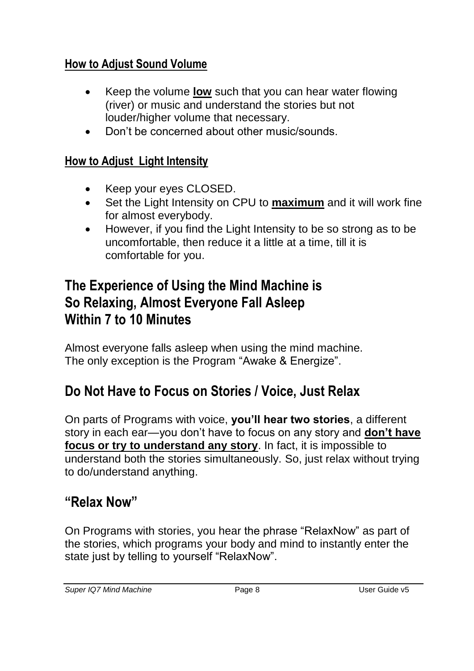### **How to Adjust Sound Volume**

- Keep the volume **low** such that you can hear water flowing (river) or music and understand the stories but not louder/higher volume that necessary.
- Don't be concerned about other music/sounds.

### **How to Adjust Light Intensity**

- Keep your eyes CLOSED.
- Set the Light Intensity on CPU to **maximum** and it will work fine for almost everybody.
- However, if you find the Light Intensity to be so strong as to be uncomfortable, then reduce it a little at a time, till it is comfortable for you.

### **The Experience of Using the Mind Machine is So Relaxing, Almost Everyone Fall Asleep Within 7 to 10 Minutes**

Almost everyone falls asleep when using the mind machine. The only exception is the Program "Awake & Energize".

## **Do Not Have to Focus on Stories / Voice, Just Relax**

On parts of Programs with voice, **you'll hear two stories**, a different story in each ear—you don't have to focus on any story and **don't have focus or try to understand any story**. In fact, it is impossible to understand both the stories simultaneously. So, just relax without trying to do/understand anything.

## **"Relax Now"**

On Programs with stories, you hear the phrase "RelaxNow" as part of the stories, which programs your body and mind to instantly enter the state just by telling to yourself "RelaxNow".

*Super IQ7 Mind Machine* Page 8 User Guide v5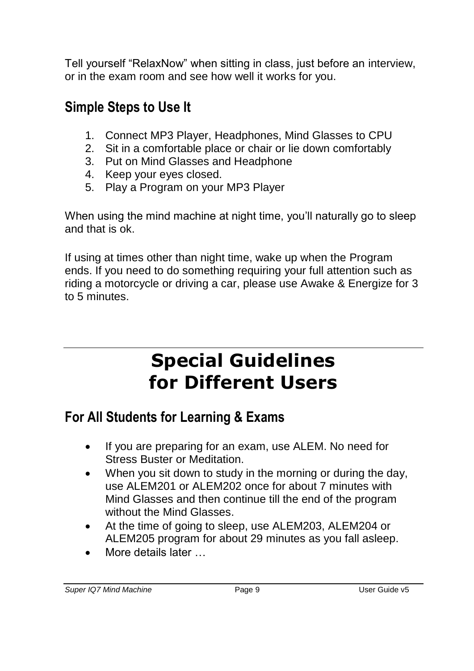Tell yourself "RelaxNow" when sitting in class, just before an interview, or in the exam room and see how well it works for you.

## **Simple Steps to Use It**

- 1. Connect MP3 Player, Headphones, Mind Glasses to CPU
- 2. Sit in a comfortable place or chair or lie down comfortably
- 3. Put on Mind Glasses and Headphone
- 4. Keep your eyes closed.
- 5. Play a Program on your MP3 Player

When using the mind machine at night time, you'll naturally go to sleep and that is ok.

If using at times other than night time, wake up when the Program ends. If you need to do something requiring your full attention such as riding a motorcycle or driving a car, please use Awake & Energize for 3 to 5 minutes.

# **Special Guidelines for Different Users**

## **For All Students for Learning & Exams**

- If you are preparing for an exam, use ALEM. No need for Stress Buster or Meditation.
- When you sit down to study in the morning or during the day, use ALEM201 or ALEM202 once for about 7 minutes with Mind Glasses and then continue till the end of the program without the Mind Glasses.
- At the time of going to sleep, use ALEM203, ALEM204 or ALEM205 program for about 29 minutes as you fall asleep.
- More details later …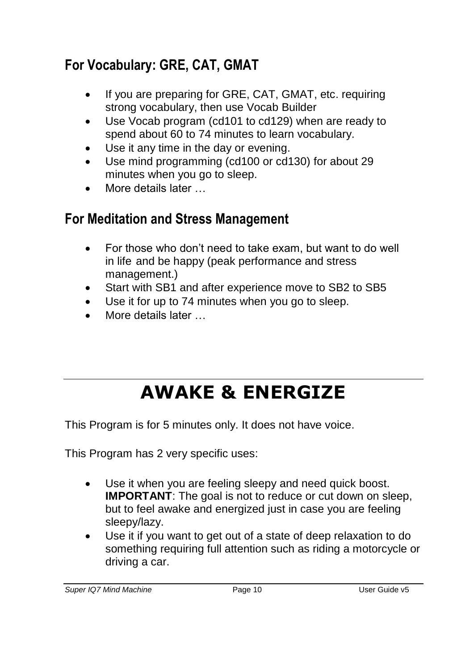## **For Vocabulary: GRE, CAT, GMAT**

- If you are preparing for GRE, CAT, GMAT, etc. requiring strong vocabulary, then use Vocab Builder
- Use Vocab program (cd101 to cd129) when are ready to spend about 60 to 74 minutes to learn vocabulary.
- Use it any time in the day or evening.
- Use mind programming (cd100 or cd130) for about 29 minutes when you go to sleep.
- More details later …

## **For Meditation and Stress Management**

- For those who don't need to take exam, but want to do well in life and be happy (peak performance and stress management.)
- Start with SB1 and after experience move to SB2 to SB5
- Use it for up to 74 minutes when you go to sleep.
- More details later …

# **AWAKE & ENERGIZE**

This Program is for 5 minutes only. It does not have voice.

This Program has 2 very specific uses:

- Use it when you are feeling sleepy and need quick boost. **IMPORTANT:** The goal is not to reduce or cut down on sleep, but to feel awake and energized just in case you are feeling sleepy/lazy.
- Use it if you want to get out of a state of deep relaxation to do something requiring full attention such as riding a motorcycle or driving a car.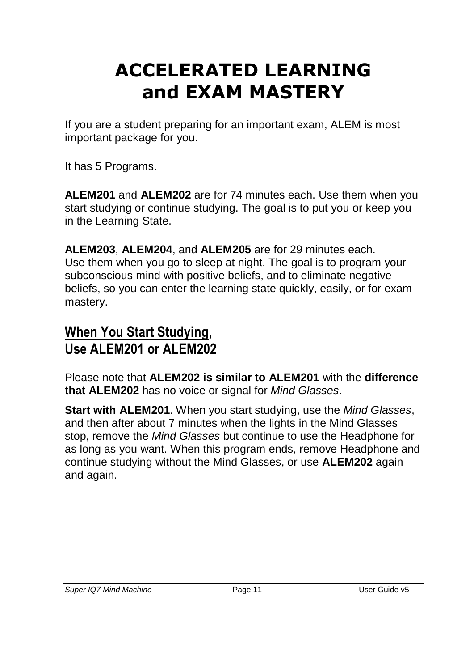# **ACCELERATED LEARNING and EXAM MASTERY**

If you are a student preparing for an important exam, ALEM is most important package for you.

It has 5 Programs.

**ALEM201** and **ALEM202** are for 74 minutes each. Use them when you start studying or continue studying. The goal is to put you or keep you in the Learning State.

**ALEM203**, **ALEM204**, and **ALEM205** are for 29 minutes each. Use them when you go to sleep at night. The goal is to program your subconscious mind with positive beliefs, and to eliminate negative beliefs, so you can enter the learning state quickly, easily, or for exam mastery.

## **When You Start Studying, Use ALEM201 or ALEM202**

Please note that **ALEM202 is similar to ALEM201** with the **difference that ALEM202** has no voice or signal for *Mind Glasses*.

**Start with ALEM201**. When you start studying, use the *Mind Glasses*, and then after about 7 minutes when the lights in the Mind Glasses stop, remove the *Mind Glasses* but continue to use the Headphone for as long as you want. When this program ends, remove Headphone and continue studying without the Mind Glasses, or use **ALEM202** again and again.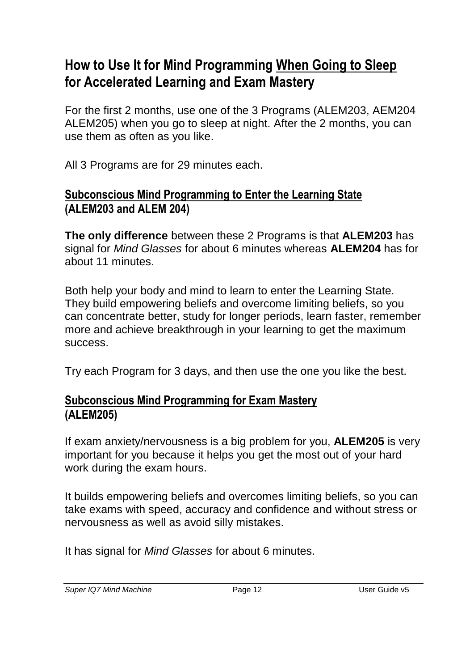### **How to Use It for Mind Programming When Going to Sleep for Accelerated Learning and Exam Mastery**

For the first 2 months, use one of the 3 Programs (ALEM203, AEM204 ALEM205) when you go to sleep at night. After the 2 months, you can use them as often as you like.

All 3 Programs are for 29 minutes each.

#### **Subconscious Mind Programming to Enter the Learning State (ALEM203 and ALEM 204)**

**The only difference** between these 2 Programs is that **ALEM203** has signal for *Mind Glasses* for about 6 minutes whereas **ALEM204** has for about 11 minutes.

Both help your body and mind to learn to enter the Learning State. They build empowering beliefs and overcome limiting beliefs, so you can concentrate better, study for longer periods, learn faster, remember more and achieve breakthrough in your learning to get the maximum success.

Try each Program for 3 days, and then use the one you like the best.

### **Subconscious Mind Programming for Exam Mastery (ALEM205)**

If exam anxiety/nervousness is a big problem for you, **ALEM205** is very important for you because it helps you get the most out of your hard work during the exam hours.

It builds empowering beliefs and overcomes limiting beliefs, so you can take exams with speed, accuracy and confidence and without stress or nervousness as well as avoid silly mistakes.

It has signal for *Mind Glasses* for about 6 minutes.

*Super IQ7 Mind Machine* Page 12 User Guide v5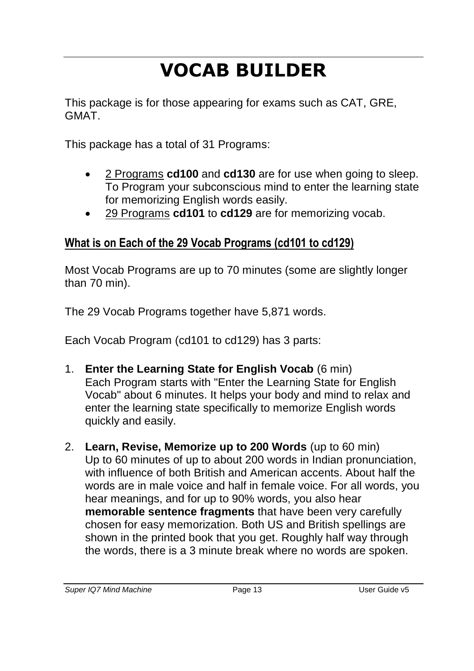# **VOCAB BUILDER**

This package is for those appearing for exams such as CAT, GRE, GMAT.

This package has a total of 31 Programs:

- 2 Programs **cd100** and **cd130** are for use when going to sleep. To Program your subconscious mind to enter the learning state for memorizing English words easily.
- 29 Programs **cd101** to **cd129** are for memorizing vocab.

### **What is on Each of the 29 Vocab Programs (cd101 to cd129)**

Most Vocab Programs are up to 70 minutes (some are slightly longer than 70 min).

The 29 Vocab Programs together have 5,871 words.

Each Vocab Program (cd101 to cd129) has 3 parts:

- 1. **Enter the Learning State for English Vocab** (6 min) Each Program starts with "Enter the Learning State for English Vocab" about 6 minutes. It helps your body and mind to relax and enter the learning state specifically to memorize English words quickly and easily.
- 2. **Learn, Revise, Memorize up to 200 Words** (up to 60 min) Up to 60 minutes of up to about 200 words in Indian pronunciation, with influence of both British and American accents. About half the words are in male voice and half in female voice. For all words, you hear meanings, and for up to 90% words, you also hear **memorable sentence fragments** that have been very carefully chosen for easy memorization. Both US and British spellings are shown in the printed book that you get. Roughly half way through the words, there is a 3 minute break where no words are spoken.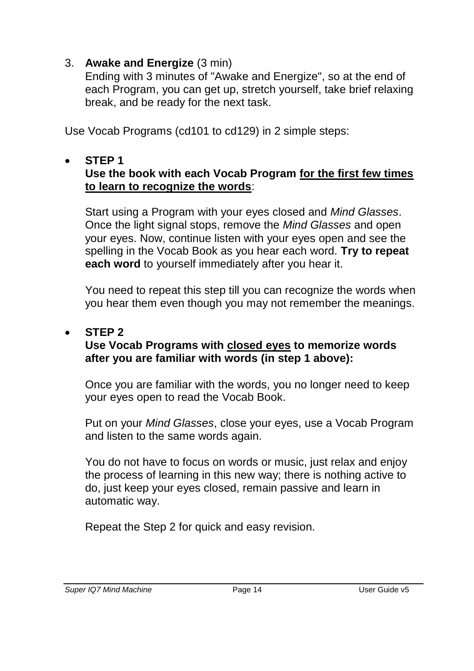#### 3. **Awake and Energize** (3 min)

Ending with 3 minutes of "Awake and Energize", so at the end of each Program, you can get up, stretch yourself, take brief relaxing break, and be ready for the next task.

Use Vocab Programs (cd101 to cd129) in 2 simple steps:

#### **STEP 1**

#### **Use the book with each Vocab Program for the first few times to learn to recognize the words**:

Start using a Program with your eyes closed and *Mind Glasses*. Once the light signal stops, remove the *Mind Glasses* and open your eyes. Now, continue listen with your eyes open and see the spelling in the Vocab Book as you hear each word. **Try to repeat each word** to yourself immediately after you hear it.

You need to repeat this step till you can recognize the words when you hear them even though you may not remember the meanings.

#### **STEP 2**

#### **Use Vocab Programs with closed eyes to memorize words after you are familiar with words (in step 1 above):**

Once you are familiar with the words, you no longer need to keep your eyes open to read the Vocab Book.

Put on your *Mind Glasses*, close your eyes, use a Vocab Program and listen to the same words again.

You do not have to focus on words or music, just relax and enjoy the process of learning in this new way; there is nothing active to do, just keep your eyes closed, remain passive and learn in automatic way.

Repeat the Step 2 for quick and easy revision.

#### *Super IQ7 Mind Machine* Page 14 User Guide v5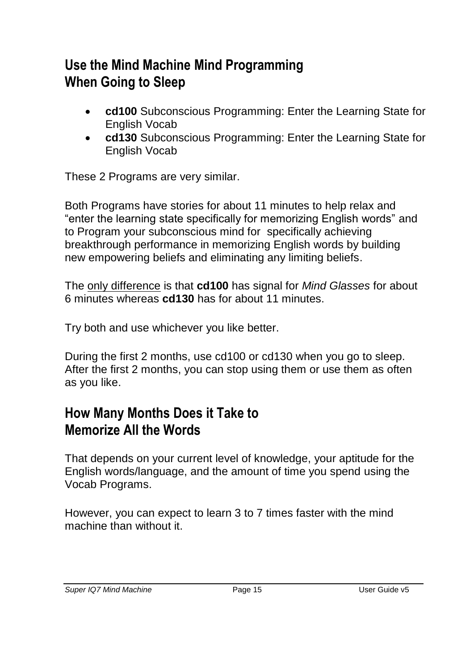### **Use the Mind Machine Mind Programming When Going to Sleep**

- **cd100** Subconscious Programming: Enter the Learning State for English Vocab
- **cd130** Subconscious Programming: Enter the Learning State for English Vocab

These 2 Programs are very similar.

Both Programs have stories for about 11 minutes to help relax and "enter the learning state specifically for memorizing English words" and to Program your subconscious mind for specifically achieving breakthrough performance in memorizing English words by building new empowering beliefs and eliminating any limiting beliefs.

The only difference is that **cd100** has signal for *Mind Glasses* for about 6 minutes whereas **cd130** has for about 11 minutes.

Try both and use whichever you like better.

During the first 2 months, use cd100 or cd130 when you go to sleep. After the first 2 months, you can stop using them or use them as often as you like.

### **How Many Months Does it Take to Memorize All the Words**

That depends on your current level of knowledge, your aptitude for the English words/language, and the amount of time you spend using the Vocab Programs.

However, you can expect to learn 3 to 7 times faster with the mind machine than without it.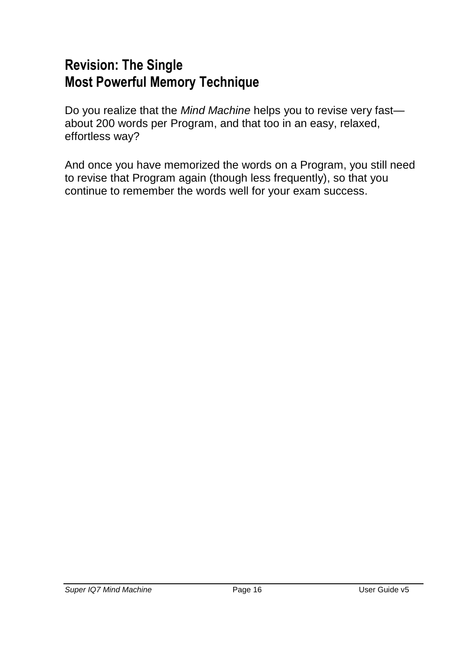### **Revision: The Single Most Powerful Memory Technique**

Do you realize that the *Mind Machine* helps you to revise very fast about 200 words per Program, and that too in an easy, relaxed, effortless way?

And once you have memorized the words on a Program, you still need to revise that Program again (though less frequently), so that you continue to remember the words well for your exam success.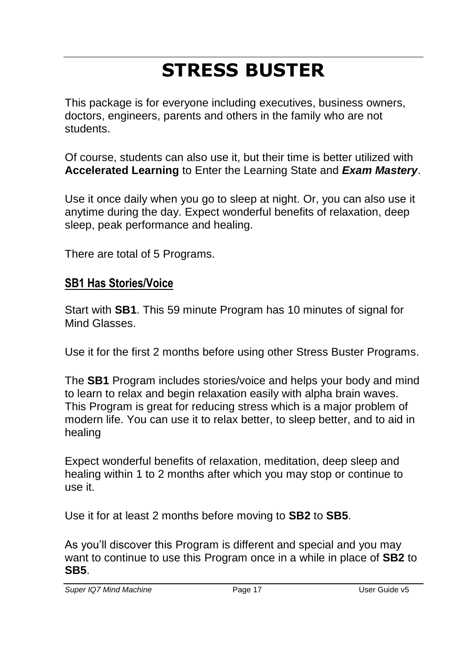# **STRESS BUSTER**

This package is for everyone including executives, business owners, doctors, engineers, parents and others in the family who are not students.

Of course, students can also use it, but their time is better utilized with **Accelerated Learning** to Enter the Learning State and *Exam Mastery*.

Use it once daily when you go to sleep at night. Or, you can also use it anytime during the day. Expect wonderful benefits of relaxation, deep sleep, peak performance and healing.

There are total of 5 Programs.

### **SB1 Has Stories/Voice**

Start with **SB1**. This 59 minute Program has 10 minutes of signal for Mind Glasses.

Use it for the first 2 months before using other Stress Buster Programs.

The **SB1** Program includes stories/voice and helps your body and mind to learn to relax and begin relaxation easily with alpha brain waves. This Program is great for reducing stress which is a major problem of modern life. You can use it to relax better, to sleep better, and to aid in healing

Expect wonderful benefits of relaxation, meditation, deep sleep and healing within 1 to 2 months after which you may stop or continue to use it.

Use it for at least 2 months before moving to **SB2** to **SB5**.

As you'll discover this Program is different and special and you may want to continue to use this Program once in a while in place of **SB2** to **SB5**.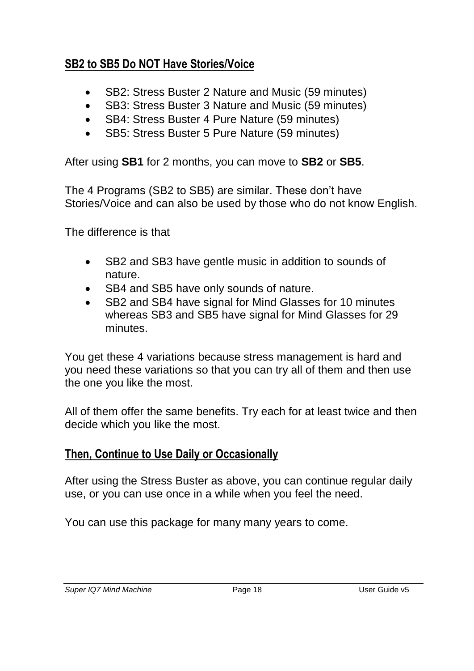### **SB2 to SB5 Do NOT Have Stories/Voice**

- SB2: Stress Buster 2 Nature and Music (59 minutes)
- SB3: Stress Buster 3 Nature and Music (59 minutes)
- SB4: Stress Buster 4 Pure Nature (59 minutes)
- SB5: Stress Buster 5 Pure Nature (59 minutes)

After using **SB1** for 2 months, you can move to **SB2** or **SB5**.

The 4 Programs (SB2 to SB5) are similar. These don't have Stories/Voice and can also be used by those who do not know English.

The difference is that

- SB2 and SB3 have gentle music in addition to sounds of nature.
- SB4 and SB5 have only sounds of nature.
- SB2 and SB4 have signal for Mind Glasses for 10 minutes whereas SB3 and SB5 have signal for Mind Glasses for 29 minutes.

You get these 4 variations because stress management is hard and you need these variations so that you can try all of them and then use the one you like the most.

All of them offer the same benefits. Try each for at least twice and then decide which you like the most.

### **Then, Continue to Use Daily or Occasionally**

After using the Stress Buster as above, you can continue regular daily use, or you can use once in a while when you feel the need.

You can use this package for many many years to come.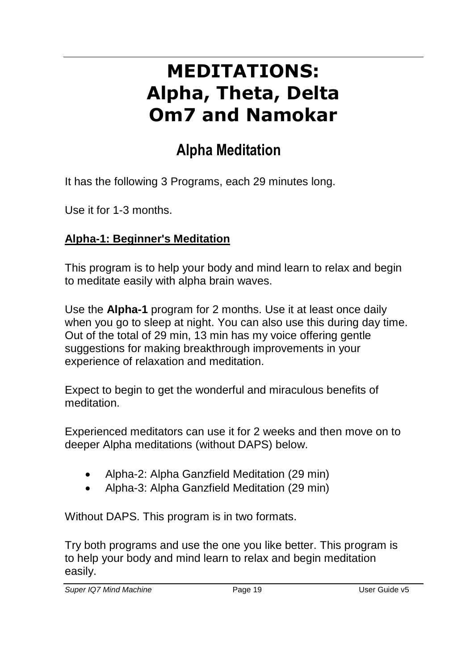# **MEDITATIONS: Alpha, Theta, Delta Om7 and Namokar**

## **Alpha Meditation**

It has the following 3 Programs, each 29 minutes long.

Use it for 1-3 months.

#### **Alpha-1: Beginner's Meditation**

This program is to help your body and mind learn to relax and begin to meditate easily with alpha brain waves.

Use the **Alpha-1** program for 2 months. Use it at least once daily when you go to sleep at night. You can also use this during day time. Out of the total of 29 min, 13 min has my voice offering gentle suggestions for making breakthrough improvements in your experience of relaxation and meditation.

Expect to begin to get the wonderful and miraculous benefits of meditation.

Experienced meditators can use it for 2 weeks and then move on to deeper Alpha meditations (without DAPS) below.

- Alpha-2: Alpha Ganzfield Meditation (29 min)
- Alpha-3: Alpha Ganzfield Meditation (29 min)

Without DAPS. This program is in two formats.

Try both programs and use the one you like better. This program is to help your body and mind learn to relax and begin meditation easily.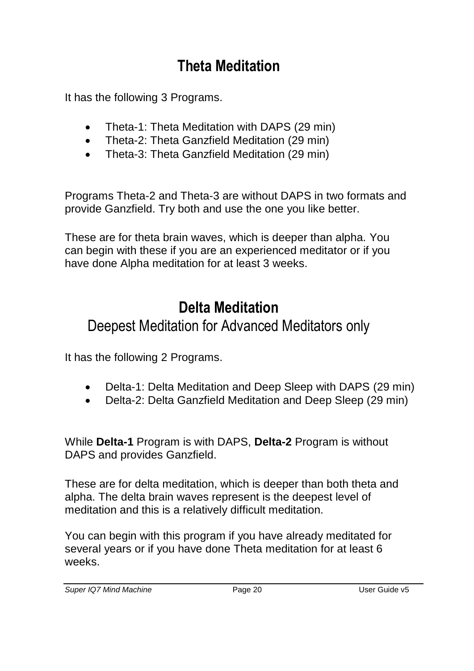## **Theta Meditation**

It has the following 3 Programs.

- Theta-1: Theta Meditation with DAPS (29 min)
- Theta-2: Theta Ganzfield Meditation (29 min)
- Theta-3: Theta Ganzfield Meditation (29 min)

Programs Theta-2 and Theta-3 are without DAPS in two formats and provide Ganzfield. Try both and use the one you like better.

These are for theta brain waves, which is deeper than alpha. You can begin with these if you are an experienced meditator or if you have done Alpha meditation for at least 3 weeks.

## **Delta Meditation**

### Deepest Meditation for Advanced Meditators only

It has the following 2 Programs.

- Delta-1: Delta Meditation and Deep Sleep with DAPS (29 min)
- Delta-2: Delta Ganzfield Meditation and Deep Sleep (29 min)

While **Delta-1** Program is with DAPS, **Delta-2** Program is without DAPS and provides Ganzfield.

These are for delta meditation, which is deeper than both theta and alpha. The delta brain waves represent is the deepest level of meditation and this is a relatively difficult meditation.

You can begin with this program if you have already meditated for several years or if you have done Theta meditation for at least 6 weeks.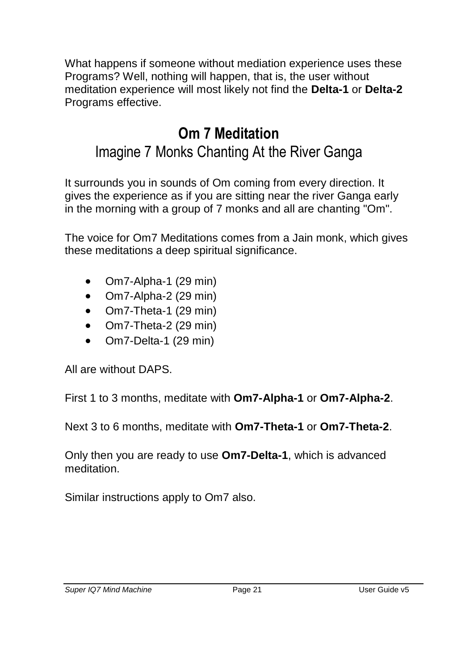What happens if someone without mediation experience uses these Programs? Well, nothing will happen, that is, the user without meditation experience will most likely not find the **Delta-1** or **Delta-2** Programs effective.

## **Om 7 Meditation**

### Imagine 7 Monks Chanting At the River Ganga

It surrounds you in sounds of Om coming from every direction. It gives the experience as if you are sitting near the river Ganga early in the morning with a group of 7 monks and all are chanting "Om".

The voice for Om7 Meditations comes from a Jain monk, which gives these meditations a deep spiritual significance.

- Om7-Alpha-1 (29 min)
- $\bullet$  Om7-Alpha-2 (29 min)
- Om7-Theta-1 (29 min)
- Om7-Theta-2 (29 min)
- Om7-Delta-1 (29 min)

All are without DAPS.

First 1 to 3 months, meditate with **Om7-Alpha-1** or **Om7-Alpha-2**.

Next 3 to 6 months, meditate with **Om7-Theta-1** or **Om7-Theta-2**.

Only then you are ready to use **Om7-Delta-1**, which is advanced meditation.

Similar instructions apply to Om7 also.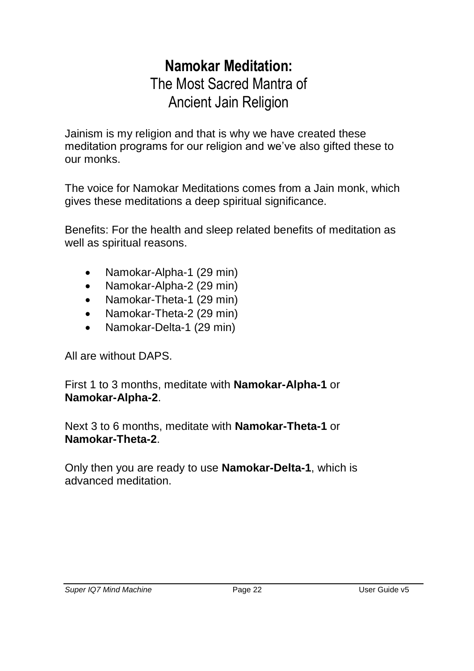### **Namokar Meditation:** The Most Sacred Mantra of Ancient Jain Religion

Jainism is my religion and that is why we have created these meditation programs for our religion and we've also gifted these to our monks.

The voice for Namokar Meditations comes from a Jain monk, which gives these meditations a deep spiritual significance.

Benefits: For the health and sleep related benefits of meditation as well as spiritual reasons.

- Namokar-Alpha-1 (29 min)
- Namokar-Alpha-2 (29 min)
- Namokar-Theta-1 (29 min)
- Namokar-Theta-2 (29 min)
- Namokar-Delta-1 (29 min)

All are without DAPS.

First 1 to 3 months, meditate with **Namokar-Alpha-1** or **Namokar-Alpha-2**.

Next 3 to 6 months, meditate with **Namokar-Theta-1** or **Namokar-Theta-2**.

Only then you are ready to use **Namokar-Delta-1**, which is advanced meditation.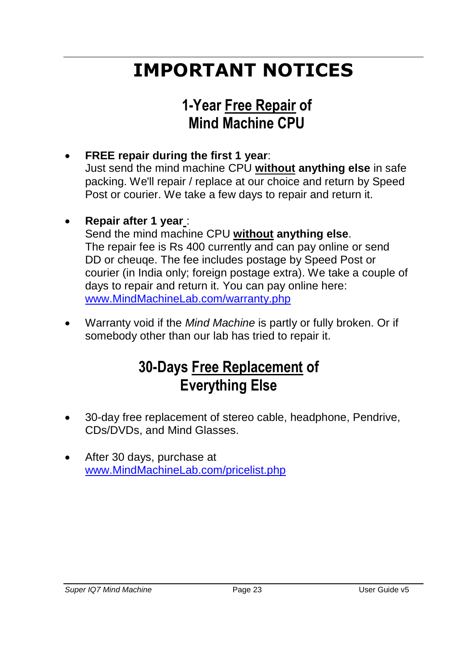# **IMPORTANT NOTICES**

## **1-Year Free Repair of Mind Machine CPU**

- **FREE repair during the first 1 year**: Just send the mind machine CPU **without anything else** in safe packing. We'll repair / replace at our choice and return by Speed Post or courier. We take a few days to repair and return it.
	- **Repair after 1 year** : Send the mind machine CPU **without anything else**. The repair fee is Rs 400 currently and can pay online or send DD or cheuqe. The fee includes postage by Speed Post or courier (in India only; foreign postage extra). We take a couple of days to repair and return it. You can pay online here: [www.MindMachineLab.com/warranty.php](http://www.mindmachinelab.com/warranty.php)
- Warranty void if the *Mind Machine* is partly or fully broken. Or if somebody other than our lab has tried to repair it.

## **30-Days Free Replacement of Everything Else**

- 30-day free replacement of stereo cable, headphone, Pendrive, CDs/DVDs, and Mind Glasses.
- After 30 days, purchase at [www.MindMachineLab.com/pricelist.php](http://www.mindmachinelab.com/pricelist.php)